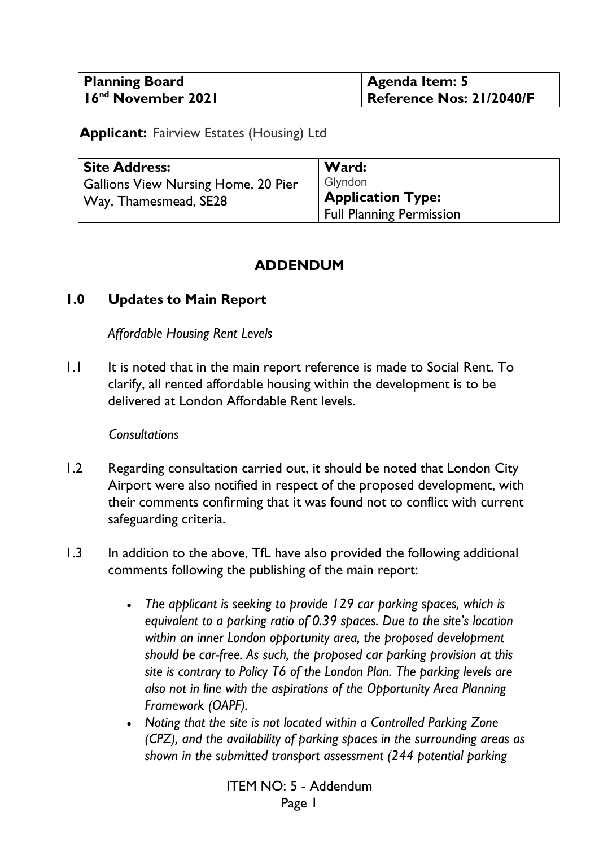| <b>Planning Board</b>          | <b>Agenda Item: 5</b>    |
|--------------------------------|--------------------------|
| 16 <sup>nd</sup> November 2021 | Reference Nos: 21/2040/F |

**Applicant:** Fairview Estates (Housing) Ltd

| <b>Site Address:</b>                       | Ward:                    |
|--------------------------------------------|--------------------------|
| <b>Gallions View Nursing Home, 20 Pier</b> | Glyndon                  |
| Way, Thamesmead, SE28                      | <b>Application Type:</b> |
|                                            | Full Planning Permission |

## **ADDENDUM**

### **1.0 Updates to Main Report**

### *Affordable Housing Rent Levels*

1.1 It is noted that in the main report reference is made to Social Rent. To clarify, all rented affordable housing within the development is to be delivered at London Affordable Rent levels.

#### *Consultations*

- 1.2 Regarding consultation carried out, it should be noted that London City Airport were also notified in respect of the proposed development, with their comments confirming that it was found not to conflict with current safeguarding criteria.
- 1.3 In addition to the above, TfL have also provided the following additional comments following the publishing of the main report:
	- *The applicant is seeking to provide 129 car parking spaces, which is equivalent to a parking ratio of 0.39 spaces. Due to the site's location within an inner London opportunity area, the proposed development should be car-free. As such, the proposed car parking provision at this site is contrary to Policy T6 of the London Plan. The parking levels are also not in line with the aspirations of the Opportunity Area Planning Framework (OAPF).*
	- *Noting that the site is not located within a Controlled Parking Zone (CPZ), and the availability of parking spaces in the surrounding areas as shown in the submitted transport assessment (244 potential parking*

ITEM NO: 5 - Addendum Page 1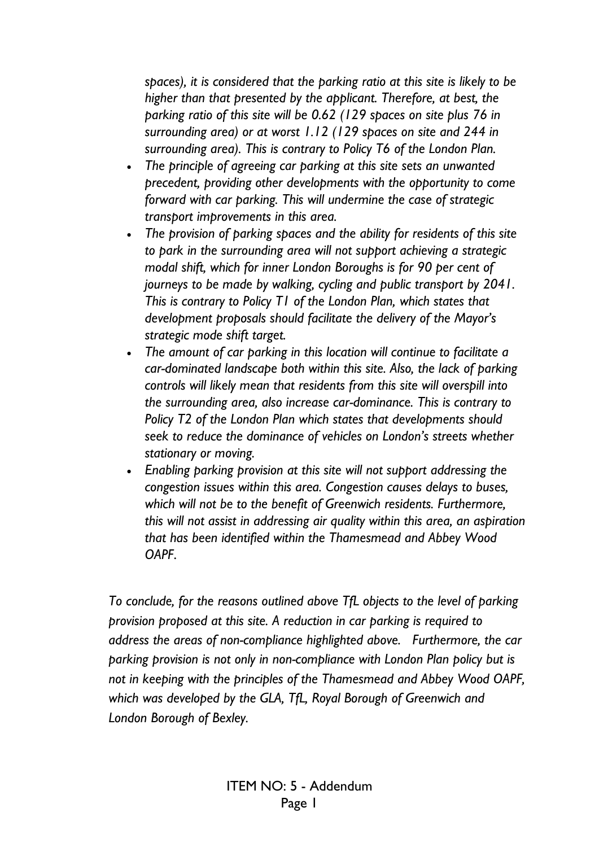*spaces), it is considered that the parking ratio at this site is likely to be higher than that presented by the applicant. Therefore, at best, the parking ratio of this site will be 0.62 (129 spaces on site plus 76 in surrounding area) or at worst 1.12 (129 spaces on site and 244 in surrounding area). This is contrary to Policy T6 of the London Plan.* 

- *The principle of agreeing car parking at this site sets an unwanted precedent, providing other developments with the opportunity to come forward with car parking. This will undermine the case of strategic transport improvements in this area.*
- *The provision of parking spaces and the ability for residents of this site to park in the surrounding area will not support achieving a strategic modal shift, which for inner London Boroughs is for 90 per cent of journeys to be made by walking, cycling and public transport by 2041. This is contrary to Policy T1 of the London Plan, which states that development proposals should facilitate the delivery of the Mayor's strategic mode shift target.*
- *The amount of car parking in this location will continue to facilitate a car-dominated landscape both within this site. Also, the lack of parking controls will likely mean that residents from this site will overspill into the surrounding area, also increase car-dominance. This is contrary to Policy T2 of the London Plan which states that developments should seek to reduce the dominance of vehicles on London's streets whether stationary or moving.*
- *Enabling parking provision at this site will not support addressing the congestion issues within this area. Congestion causes delays to buses, which will not be to the benefit of Greenwich residents. Furthermore, this will not assist in addressing air quality within this area, an aspiration that has been identified within the Thamesmead and Abbey Wood OAPF*.

*To conclude, for the reasons outlined above TfL objects to the level of parking provision proposed at this site. A reduction in car parking is required to address the areas of non-compliance highlighted above. Furthermore, the car parking provision is not only in non-compliance with London Plan policy but is not in keeping with the principles of the Thamesmead and Abbey Wood OAPF, which was developed by the GLA, TfL, Royal Borough of Greenwich and London Borough of Bexley.*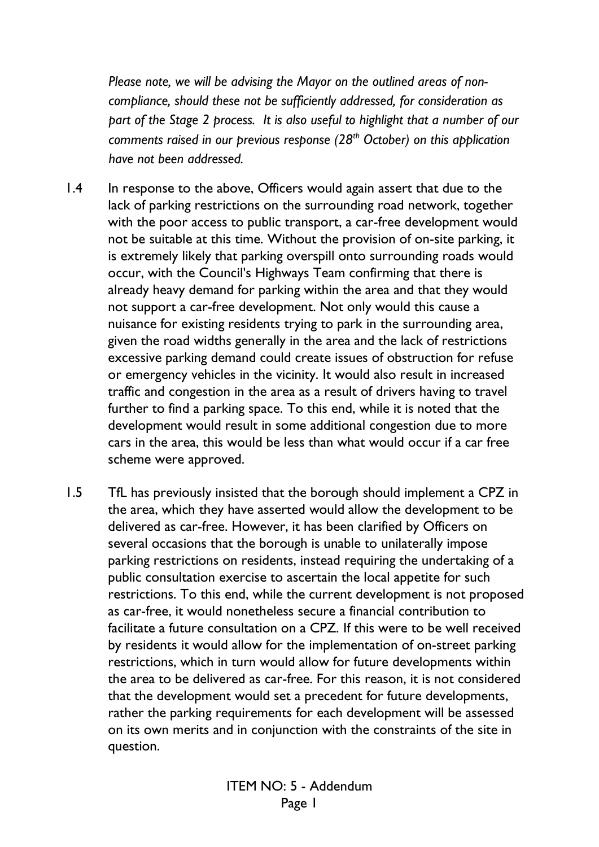*Please note, we will be advising the Mayor on the outlined areas of noncompliance, should these not be sufficiently addressed, for consideration as part of the Stage 2 process. It is also useful to highlight that a number of our comments raised in our previous response (28th October) on this application have not been addressed.* 

- 1.4 In response to the above, Officers would again assert that due to the lack of parking restrictions on the surrounding road network, together with the poor access to public transport, a car-free development would not be suitable at this time. Without the provision of on-site parking, it is extremely likely that parking overspill onto surrounding roads would occur, with the Council's Highways Team confirming that there is already heavy demand for parking within the area and that they would not support a car-free development. Not only would this cause a nuisance for existing residents trying to park in the surrounding area, given the road widths generally in the area and the lack of restrictions excessive parking demand could create issues of obstruction for refuse or emergency vehicles in the vicinity. It would also result in increased traffic and congestion in the area as a result of drivers having to travel further to find a parking space. To this end, while it is noted that the development would result in some additional congestion due to more cars in the area, this would be less than what would occur if a car free scheme were approved.
- 1.5 TfL has previously insisted that the borough should implement a CPZ in the area, which they have asserted would allow the development to be delivered as car-free. However, it has been clarified by Officers on several occasions that the borough is unable to unilaterally impose parking restrictions on residents, instead requiring the undertaking of a public consultation exercise to ascertain the local appetite for such restrictions. To this end, while the current development is not proposed as car-free, it would nonetheless secure a financial contribution to facilitate a future consultation on a CPZ. If this were to be well received by residents it would allow for the implementation of on-street parking restrictions, which in turn would allow for future developments within the area to be delivered as car-free. For this reason, it is not considered that the development would set a precedent for future developments, rather the parking requirements for each development will be assessed on its own merits and in conjunction with the constraints of the site in question.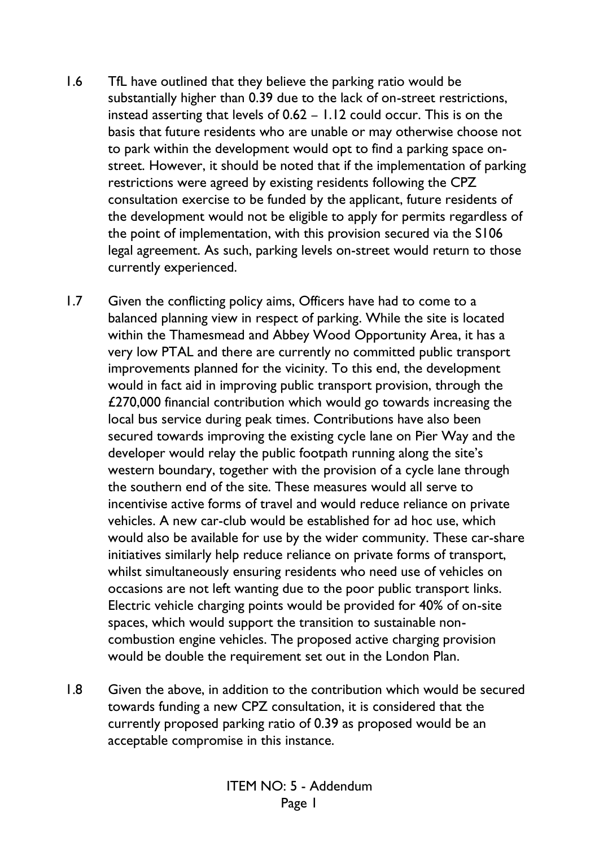- 1.6 TfL have outlined that they believe the parking ratio would be substantially higher than 0.39 due to the lack of on-street restrictions, instead asserting that levels of 0.62 – 1.12 could occur. This is on the basis that future residents who are unable or may otherwise choose not to park within the development would opt to find a parking space onstreet. However, it should be noted that if the implementation of parking restrictions were agreed by existing residents following the CPZ consultation exercise to be funded by the applicant, future residents of the development would not be eligible to apply for permits regardless of the point of implementation, with this provision secured via the S106 legal agreement. As such, parking levels on-street would return to those currently experienced.
- 1.7 Given the conflicting policy aims, Officers have had to come to a balanced planning view in respect of parking. While the site is located within the Thamesmead and Abbey Wood Opportunity Area, it has a very low PTAL and there are currently no committed public transport improvements planned for the vicinity. To this end, the development would in fact aid in improving public transport provision, through the £270,000 financial contribution which would go towards increasing the local bus service during peak times. Contributions have also been secured towards improving the existing cycle lane on Pier Way and the developer would relay the public footpath running along the site's western boundary, together with the provision of a cycle lane through the southern end of the site. These measures would all serve to incentivise active forms of travel and would reduce reliance on private vehicles. A new car-club would be established for ad hoc use, which would also be available for use by the wider community. These car-share initiatives similarly help reduce reliance on private forms of transport, whilst simultaneously ensuring residents who need use of vehicles on occasions are not left wanting due to the poor public transport links. Electric vehicle charging points would be provided for 40% of on-site spaces, which would support the transition to sustainable noncombustion engine vehicles. The proposed active charging provision would be double the requirement set out in the London Plan.
- 1.8 Given the above, in addition to the contribution which would be secured towards funding a new CPZ consultation, it is considered that the currently proposed parking ratio of 0.39 as proposed would be an acceptable compromise in this instance.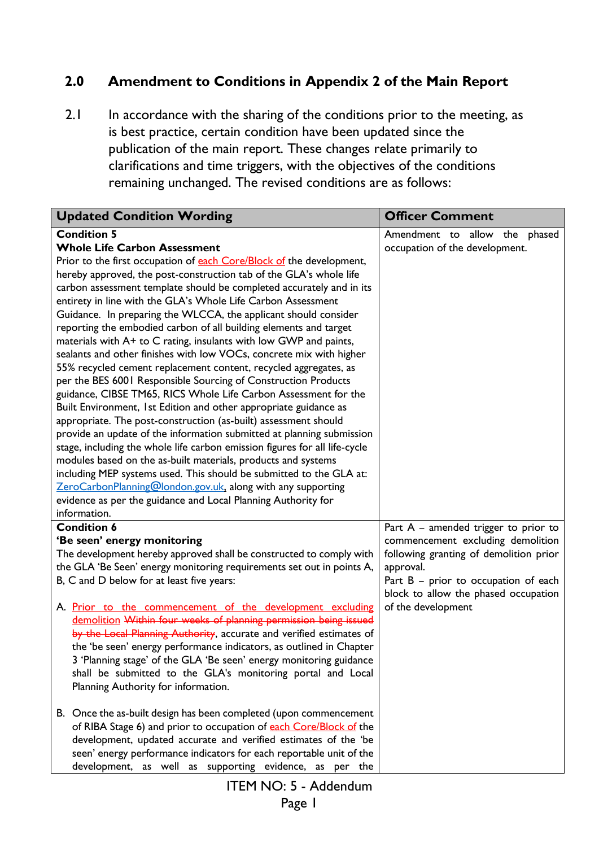# **2.0 Amendment to Conditions in Appendix 2 of the Main Report**

2.1 In accordance with the sharing of the conditions prior to the meeting, as is best practice, certain condition have been updated since the publication of the main report. These changes relate primarily to clarifications and time triggers, with the objectives of the conditions remaining unchanged. The revised conditions are as follows:

| <b>Updated Condition Wording</b>                                                                                                                                                                                                                                                                                                                                                                                                                                                                                                                                                                                                                                                                                                                                                                                                                                                                                                                                                                                                                                                                                                                                                                                                                                                                                                                                                                                                   | <b>Officer Comment</b>                                                                                                                                                                                                                     |  |
|------------------------------------------------------------------------------------------------------------------------------------------------------------------------------------------------------------------------------------------------------------------------------------------------------------------------------------------------------------------------------------------------------------------------------------------------------------------------------------------------------------------------------------------------------------------------------------------------------------------------------------------------------------------------------------------------------------------------------------------------------------------------------------------------------------------------------------------------------------------------------------------------------------------------------------------------------------------------------------------------------------------------------------------------------------------------------------------------------------------------------------------------------------------------------------------------------------------------------------------------------------------------------------------------------------------------------------------------------------------------------------------------------------------------------------|--------------------------------------------------------------------------------------------------------------------------------------------------------------------------------------------------------------------------------------------|--|
| <b>Condition 5</b><br><b>Whole Life Carbon Assessment</b><br>Prior to the first occupation of each Core/Block of the development,<br>hereby approved, the post-construction tab of the GLA's whole life<br>carbon assessment template should be completed accurately and in its<br>entirety in line with the GLA's Whole Life Carbon Assessment<br>Guidance. In preparing the WLCCA, the applicant should consider<br>reporting the embodied carbon of all building elements and target<br>materials with A+ to C rating, insulants with low GWP and paints,<br>sealants and other finishes with low VOCs, concrete mix with higher<br>55% recycled cement replacement content, recycled aggregates, as<br>per the BES 6001 Responsible Sourcing of Construction Products<br>guidance, CIBSE TM65, RICS Whole Life Carbon Assessment for the<br>Built Environment, 1st Edition and other appropriate guidance as<br>appropriate. The post-construction (as-built) assessment should<br>provide an update of the information submitted at planning submission<br>stage, including the whole life carbon emission figures for all life-cycle<br>modules based on the as-built materials, products and systems<br>including MEP systems used. This should be submitted to the GLA at:<br>ZeroCarbonPlanning@london.gov.uk, along with any supporting<br>evidence as per the guidance and Local Planning Authority for<br>information. | Amendment to allow the phased<br>occupation of the development.                                                                                                                                                                            |  |
| <b>Condition 6</b><br>'Be seen' energy monitoring<br>The development hereby approved shall be constructed to comply with<br>the GLA 'Be Seen' energy monitoring requirements set out in points A,<br>B, C and D below for at least five years:<br>A. Prior to the commencement of the development excluding<br>demolition Within four weeks of planning permission being issued<br>by the Local Planning Authority, accurate and verified estimates of<br>the 'be seen' energy performance indicators, as outlined in Chapter<br>3 'Planning stage' of the GLA 'Be seen' energy monitoring guidance<br>shall be submitted to the GLA's monitoring portal and Local<br>Planning Authority for information.                                                                                                                                                                                                                                                                                                                                                                                                                                                                                                                                                                                                                                                                                                                          | Part $A$ – amended trigger to prior to<br>commencement excluding demolition<br>following granting of demolition prior<br>approval.<br>Part $B$ – prior to occupation of each<br>block to allow the phased occupation<br>of the development |  |
| B. Once the as-built design has been completed (upon commencement<br>of RIBA Stage 6) and prior to occupation of each Core/Block of the<br>development, updated accurate and verified estimates of the 'be<br>seen' energy performance indicators for each reportable unit of the<br>development, as well as supporting evidence, as per the                                                                                                                                                                                                                                                                                                                                                                                                                                                                                                                                                                                                                                                                                                                                                                                                                                                                                                                                                                                                                                                                                       |                                                                                                                                                                                                                                            |  |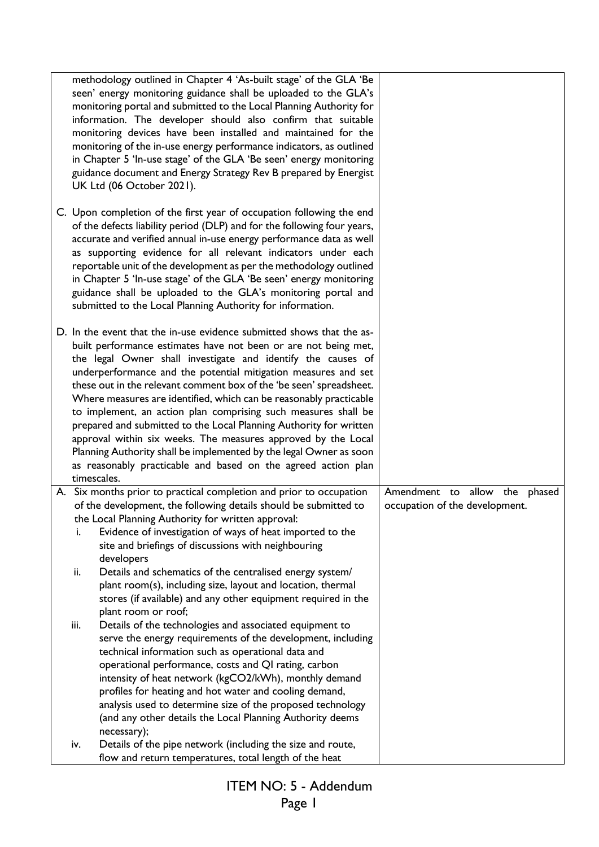|      | methodology outlined in Chapter 4 'As-built stage' of the GLA 'Be<br>seen' energy monitoring guidance shall be uploaded to the GLA's<br>monitoring portal and submitted to the Local Planning Authority for<br>information. The developer should also confirm that suitable<br>monitoring devices have been installed and maintained for the<br>monitoring of the in-use energy performance indicators, as outlined<br>in Chapter 5 'In-use stage' of the GLA 'Be seen' energy monitoring<br>guidance document and Energy Strategy Rev B prepared by Energist<br>UK Ltd (06 October 2021).                                                                                                                                                                                             |                                                                    |
|------|----------------------------------------------------------------------------------------------------------------------------------------------------------------------------------------------------------------------------------------------------------------------------------------------------------------------------------------------------------------------------------------------------------------------------------------------------------------------------------------------------------------------------------------------------------------------------------------------------------------------------------------------------------------------------------------------------------------------------------------------------------------------------------------|--------------------------------------------------------------------|
|      | C. Upon completion of the first year of occupation following the end<br>of the defects liability period (DLP) and for the following four years,<br>accurate and verified annual in-use energy performance data as well<br>as supporting evidence for all relevant indicators under each<br>reportable unit of the development as per the methodology outlined<br>in Chapter 5 'In-use stage' of the GLA 'Be seen' energy monitoring<br>guidance shall be uploaded to the GLA's monitoring portal and<br>submitted to the Local Planning Authority for information.                                                                                                                                                                                                                     |                                                                    |
|      | D. In the event that the in-use evidence submitted shows that the as-<br>built performance estimates have not been or are not being met,<br>the legal Owner shall investigate and identify the causes of<br>underperformance and the potential mitigation measures and set<br>these out in the relevant comment box of the 'be seen' spreadsheet.<br>Where measures are identified, which can be reasonably practicable<br>to implement, an action plan comprising such measures shall be<br>prepared and submitted to the Local Planning Authority for written<br>approval within six weeks. The measures approved by the Local<br>Planning Authority shall be implemented by the legal Owner as soon<br>as reasonably practicable and based on the agreed action plan<br>timescales. |                                                                    |
| i.   | A. Six months prior to practical completion and prior to occupation<br>of the development, the following details should be submitted to<br>the Local Planning Authority for written approval:<br>Evidence of investigation of ways of heat imported to the<br>site and briefings of discussions with neighbouring<br>developers                                                                                                                                                                                                                                                                                                                                                                                                                                                        | Amendment to allow the<br>phased<br>occupation of the development. |
| ii.  | Details and schematics of the centralised energy system/<br>plant room(s), including size, layout and location, thermal<br>stores (if available) and any other equipment required in the<br>plant room or roof;                                                                                                                                                                                                                                                                                                                                                                                                                                                                                                                                                                        |                                                                    |
| iii. | Details of the technologies and associated equipment to<br>serve the energy requirements of the development, including<br>technical information such as operational data and<br>operational performance, costs and QI rating, carbon<br>intensity of heat network (kgCO2/kWh), monthly demand<br>profiles for heating and hot water and cooling demand,<br>analysis used to determine size of the proposed technology<br>(and any other details the Local Planning Authority deems<br>necessary);                                                                                                                                                                                                                                                                                      |                                                                    |
| iv.  | Details of the pipe network (including the size and route,<br>flow and return temperatures, total length of the heat                                                                                                                                                                                                                                                                                                                                                                                                                                                                                                                                                                                                                                                                   |                                                                    |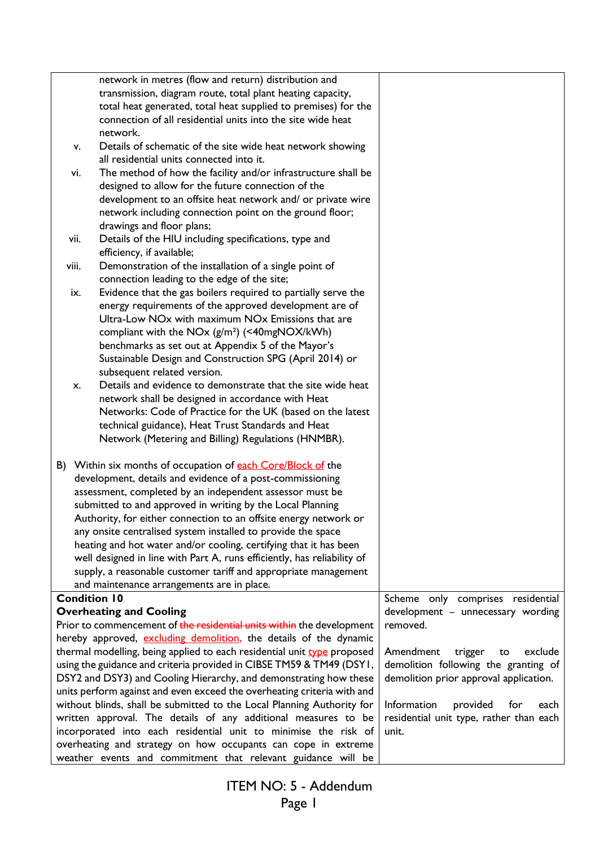|       | network in metres (flow and return) distribution and                           |                                         |
|-------|--------------------------------------------------------------------------------|-----------------------------------------|
|       | transmission, diagram route, total plant heating capacity,                     |                                         |
|       | total heat generated, total heat supplied to premises) for the                 |                                         |
|       | connection of all residential units into the site wide heat                    |                                         |
|       | network.                                                                       |                                         |
|       | Details of schematic of the site wide heat network showing<br>v.               |                                         |
|       | all residential units connected into it.                                       |                                         |
|       | The method of how the facility and/or infrastructure shall be<br>vi.           |                                         |
|       | designed to allow for the future connection of the                             |                                         |
|       | development to an offsite heat network and/ or private wire                    |                                         |
|       | network including connection point on the ground floor;                        |                                         |
|       | drawings and floor plans;                                                      |                                         |
| vii.  | Details of the HIU including specifications, type and                          |                                         |
|       | efficiency, if available;                                                      |                                         |
| viii. | Demonstration of the installation of a single point of                         |                                         |
|       | connection leading to the edge of the site;                                    |                                         |
|       | Evidence that the gas boilers required to partially serve the<br>ix.           |                                         |
|       | energy requirements of the approved development are of                         |                                         |
|       | Ultra-Low NO <sub>x</sub> with maximum NO <sub>x</sub> Emissions that are      |                                         |
|       | compliant with the NOx (g/m <sup>2</sup> ) (<40mgNOX/kWh)                      |                                         |
|       | benchmarks as set out at Appendix 5 of the Mayor's                             |                                         |
|       | Sustainable Design and Construction SPG (April 2014) or                        |                                         |
|       | subsequent related version.                                                    |                                         |
|       | Details and evidence to demonstrate that the site wide heat<br>X.              |                                         |
|       | network shall be designed in accordance with Heat                              |                                         |
|       | Networks: Code of Practice for the UK (based on the latest                     |                                         |
|       | technical guidance), Heat Trust Standards and Heat                             |                                         |
|       | Network (Metering and Billing) Regulations (HNMBR).                            |                                         |
|       | B) Within six months of occupation of each Core/Block of the                   |                                         |
|       | development, details and evidence of a post-commissioning                      |                                         |
|       | assessment, completed by an independent assessor must be                       |                                         |
|       | submitted to and approved in writing by the Local Planning                     |                                         |
|       | Authority, for either connection to an offsite energy network or               |                                         |
|       | any onsite centralised system installed to provide the space                   |                                         |
|       | heating and hot water and/or cooling, certifying that it has been              |                                         |
|       | well designed in line with Part A, runs efficiently, has reliability of        |                                         |
|       | supply, a reasonable customer tariff and appropriate management                |                                         |
|       | and maintenance arrangements are in place.                                     |                                         |
|       | <b>Condition 10</b>                                                            | Scheme only comprises residential       |
|       | <b>Overheating and Cooling</b>                                                 | development - unnecessary wording       |
|       | Prior to commencement of the residential units within the development          | removed.                                |
|       | hereby approved, excluding demolition, the details of the dynamic              |                                         |
|       | thermal modelling, being applied to each residential unit <b>type</b> proposed | Amendment<br>trigger<br>exclude<br>to   |
|       | using the guidance and criteria provided in CIBSE TM59 & TM49 (DSY1,           | demolition following the granting of    |
|       | DSY2 and DSY3) and Cooling Hierarchy, and demonstrating how these              | demolition prior approval application.  |
|       | units perform against and even exceed the overheating criteria with and        |                                         |
|       | without blinds, shall be submitted to the Local Planning Authority for         | Information<br>provided<br>for<br>each  |
|       | written approval. The details of any additional measures to be                 | residential unit type, rather than each |
|       | incorporated into each residential unit to minimise the risk of                | unit.                                   |
|       | overheating and strategy on how occupants can cope in extreme                  |                                         |
|       | weather events and commitment that relevant guidance will be                   |                                         |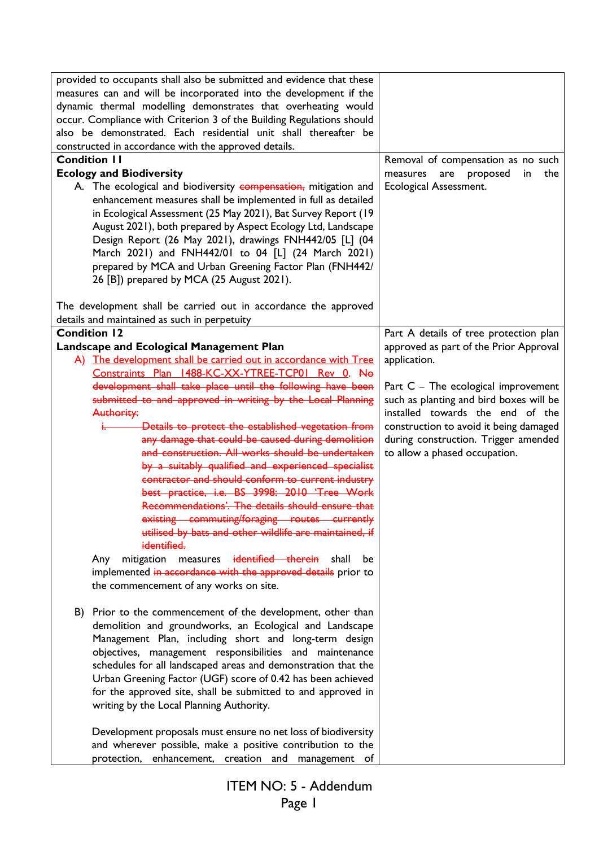| provided to occupants shall also be submitted and evidence that these<br>measures can and will be incorporated into the development if the<br>dynamic thermal modelling demonstrates that overheating would<br>occur. Compliance with Criterion 3 of the Building Regulations should<br>also be demonstrated. Each residential unit shall thereafter be<br>constructed in accordance with the approved details.<br><b>Condition II</b><br><b>Ecology and Biodiversity</b><br>A. The ecological and biodiversity compensation, mitigation and<br>enhancement measures shall be implemented in full as detailed<br>in Ecological Assessment (25 May 2021), Bat Survey Report (19<br>August 2021), both prepared by Aspect Ecology Ltd, Landscape<br>Design Report (26 May 2021), drawings FNH442/05 [L] (04<br>March 2021) and FNH442/01 to 04 [L] (24 March 2021)<br>prepared by MCA and Urban Greening Factor Plan (FNH442/<br>26 [B]) prepared by MCA (25 August 2021). | Removal of compensation as no such<br>proposed<br>measures<br>are<br>in<br>the<br>Ecological Assessment. |
|--------------------------------------------------------------------------------------------------------------------------------------------------------------------------------------------------------------------------------------------------------------------------------------------------------------------------------------------------------------------------------------------------------------------------------------------------------------------------------------------------------------------------------------------------------------------------------------------------------------------------------------------------------------------------------------------------------------------------------------------------------------------------------------------------------------------------------------------------------------------------------------------------------------------------------------------------------------------------|----------------------------------------------------------------------------------------------------------|
| The development shall be carried out in accordance the approved                                                                                                                                                                                                                                                                                                                                                                                                                                                                                                                                                                                                                                                                                                                                                                                                                                                                                                          |                                                                                                          |
| details and maintained as such in perpetuity                                                                                                                                                                                                                                                                                                                                                                                                                                                                                                                                                                                                                                                                                                                                                                                                                                                                                                                             |                                                                                                          |
| <b>Condition 12</b>                                                                                                                                                                                                                                                                                                                                                                                                                                                                                                                                                                                                                                                                                                                                                                                                                                                                                                                                                      | Part A details of tree protection plan                                                                   |
| Landscape and Ecological Management Plan                                                                                                                                                                                                                                                                                                                                                                                                                                                                                                                                                                                                                                                                                                                                                                                                                                                                                                                                 | approved as part of the Prior Approval                                                                   |
| A) The development shall be carried out in accordance with Tree<br>Constraints Plan 1488-KC-XX-YTREE-TCP01 Rev 0. No                                                                                                                                                                                                                                                                                                                                                                                                                                                                                                                                                                                                                                                                                                                                                                                                                                                     | application.                                                                                             |
| development shall take place until the following have been                                                                                                                                                                                                                                                                                                                                                                                                                                                                                                                                                                                                                                                                                                                                                                                                                                                                                                               | Part $C$ – The ecological improvement                                                                    |
| submitted to and approved in writing by the Local Planning                                                                                                                                                                                                                                                                                                                                                                                                                                                                                                                                                                                                                                                                                                                                                                                                                                                                                                               | such as planting and bird boxes will be                                                                  |
| Authority:                                                                                                                                                                                                                                                                                                                                                                                                                                                                                                                                                                                                                                                                                                                                                                                                                                                                                                                                                               | installed towards the end of the                                                                         |
| Details to protect the established vegetation from                                                                                                                                                                                                                                                                                                                                                                                                                                                                                                                                                                                                                                                                                                                                                                                                                                                                                                                       | construction to avoid it being damaged                                                                   |
| any damage that could be caused during demolition                                                                                                                                                                                                                                                                                                                                                                                                                                                                                                                                                                                                                                                                                                                                                                                                                                                                                                                        | during construction. Trigger amended                                                                     |
| and construction. All works should be undertaken                                                                                                                                                                                                                                                                                                                                                                                                                                                                                                                                                                                                                                                                                                                                                                                                                                                                                                                         | to allow a phased occupation.                                                                            |
| by a suitably qualified and experienced specialist                                                                                                                                                                                                                                                                                                                                                                                                                                                                                                                                                                                                                                                                                                                                                                                                                                                                                                                       |                                                                                                          |
| contractor and should conform to current industry                                                                                                                                                                                                                                                                                                                                                                                                                                                                                                                                                                                                                                                                                                                                                                                                                                                                                                                        |                                                                                                          |
| best practice, i.e. BS 3998: 2010 'Tree Work                                                                                                                                                                                                                                                                                                                                                                                                                                                                                                                                                                                                                                                                                                                                                                                                                                                                                                                             |                                                                                                          |
| Recommendations'. The details should ensure that                                                                                                                                                                                                                                                                                                                                                                                                                                                                                                                                                                                                                                                                                                                                                                                                                                                                                                                         |                                                                                                          |
| existing commuting/foraging routes currently                                                                                                                                                                                                                                                                                                                                                                                                                                                                                                                                                                                                                                                                                                                                                                                                                                                                                                                             |                                                                                                          |
| utilised by bats and other wildlife are maintained, if                                                                                                                                                                                                                                                                                                                                                                                                                                                                                                                                                                                                                                                                                                                                                                                                                                                                                                                   |                                                                                                          |
| identified.                                                                                                                                                                                                                                                                                                                                                                                                                                                                                                                                                                                                                                                                                                                                                                                                                                                                                                                                                              |                                                                                                          |
| mitigation measures identified therein shall<br>Any<br>be                                                                                                                                                                                                                                                                                                                                                                                                                                                                                                                                                                                                                                                                                                                                                                                                                                                                                                                |                                                                                                          |
| implemented in accordance with the approved details prior to                                                                                                                                                                                                                                                                                                                                                                                                                                                                                                                                                                                                                                                                                                                                                                                                                                                                                                             |                                                                                                          |
| the commencement of any works on site.                                                                                                                                                                                                                                                                                                                                                                                                                                                                                                                                                                                                                                                                                                                                                                                                                                                                                                                                   |                                                                                                          |
|                                                                                                                                                                                                                                                                                                                                                                                                                                                                                                                                                                                                                                                                                                                                                                                                                                                                                                                                                                          |                                                                                                          |
| B) Prior to the commencement of the development, other than                                                                                                                                                                                                                                                                                                                                                                                                                                                                                                                                                                                                                                                                                                                                                                                                                                                                                                              |                                                                                                          |
| demolition and groundworks, an Ecological and Landscape                                                                                                                                                                                                                                                                                                                                                                                                                                                                                                                                                                                                                                                                                                                                                                                                                                                                                                                  |                                                                                                          |
| Management Plan, including short and long-term design                                                                                                                                                                                                                                                                                                                                                                                                                                                                                                                                                                                                                                                                                                                                                                                                                                                                                                                    |                                                                                                          |
| objectives, management responsibilities and maintenance                                                                                                                                                                                                                                                                                                                                                                                                                                                                                                                                                                                                                                                                                                                                                                                                                                                                                                                  |                                                                                                          |
| schedules for all landscaped areas and demonstration that the                                                                                                                                                                                                                                                                                                                                                                                                                                                                                                                                                                                                                                                                                                                                                                                                                                                                                                            |                                                                                                          |
| Urban Greening Factor (UGF) score of 0.42 has been achieved                                                                                                                                                                                                                                                                                                                                                                                                                                                                                                                                                                                                                                                                                                                                                                                                                                                                                                              |                                                                                                          |
| for the approved site, shall be submitted to and approved in                                                                                                                                                                                                                                                                                                                                                                                                                                                                                                                                                                                                                                                                                                                                                                                                                                                                                                             |                                                                                                          |
| writing by the Local Planning Authority.                                                                                                                                                                                                                                                                                                                                                                                                                                                                                                                                                                                                                                                                                                                                                                                                                                                                                                                                 |                                                                                                          |
|                                                                                                                                                                                                                                                                                                                                                                                                                                                                                                                                                                                                                                                                                                                                                                                                                                                                                                                                                                          |                                                                                                          |
| Development proposals must ensure no net loss of biodiversity<br>and wherever possible, make a positive contribution to the                                                                                                                                                                                                                                                                                                                                                                                                                                                                                                                                                                                                                                                                                                                                                                                                                                              |                                                                                                          |
| protection, enhancement, creation and management of                                                                                                                                                                                                                                                                                                                                                                                                                                                                                                                                                                                                                                                                                                                                                                                                                                                                                                                      |                                                                                                          |
|                                                                                                                                                                                                                                                                                                                                                                                                                                                                                                                                                                                                                                                                                                                                                                                                                                                                                                                                                                          |                                                                                                          |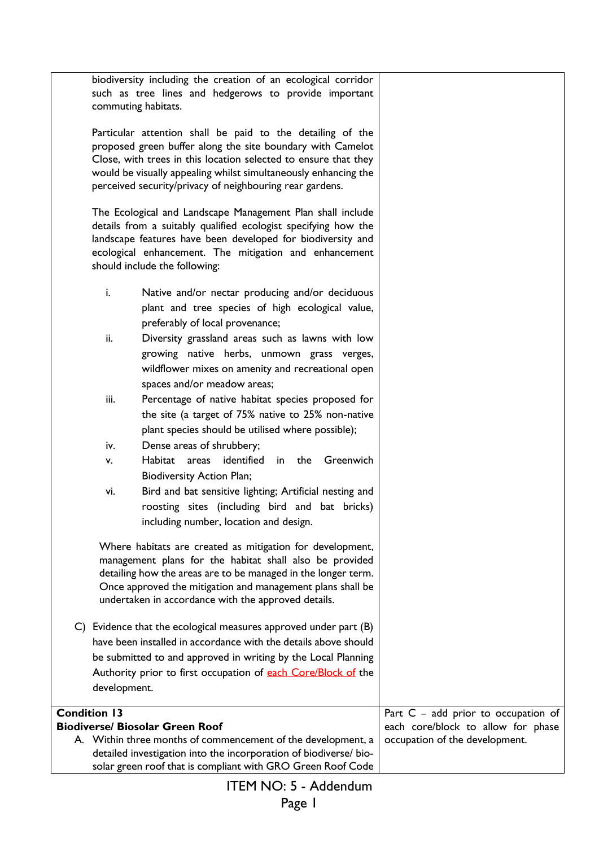|                     | biodiversity including the creation of an ecological corridor<br>such as tree lines and hedgerows to provide important<br>commuting habitats.                                                                                                                                                                              |                                       |
|---------------------|----------------------------------------------------------------------------------------------------------------------------------------------------------------------------------------------------------------------------------------------------------------------------------------------------------------------------|---------------------------------------|
|                     | Particular attention shall be paid to the detailing of the<br>proposed green buffer along the site boundary with Camelot<br>Close, with trees in this location selected to ensure that they<br>would be visually appealing whilst simultaneously enhancing the<br>perceived security/privacy of neighbouring rear gardens. |                                       |
|                     | The Ecological and Landscape Management Plan shall include<br>details from a suitably qualified ecologist specifying how the<br>landscape features have been developed for biodiversity and<br>ecological enhancement. The mitigation and enhancement<br>should include the following:                                     |                                       |
| i.                  | Native and/or nectar producing and/or deciduous<br>plant and tree species of high ecological value,<br>preferably of local provenance;                                                                                                                                                                                     |                                       |
| ii.                 | Diversity grassland areas such as lawns with low<br>growing native herbs, unmown grass verges,<br>wildflower mixes on amenity and recreational open<br>spaces and/or meadow areas;                                                                                                                                         |                                       |
| iii.                | Percentage of native habitat species proposed for<br>the site (a target of 75% native to 25% non-native<br>plant species should be utilised where possible);                                                                                                                                                               |                                       |
| iv.                 | Dense areas of shrubbery;                                                                                                                                                                                                                                                                                                  |                                       |
| ۷.                  | identified<br>Habitat areas<br>in the<br>Greenwich<br><b>Biodiversity Action Plan;</b>                                                                                                                                                                                                                                     |                                       |
| vi.                 | Bird and bat sensitive lighting; Artificial nesting and<br>roosting sites (including bird and bat bricks)<br>including number, location and design.                                                                                                                                                                        |                                       |
|                     | Where habitats are created as mitigation for development,<br>management plans for the habitat shall also be provided<br>detailing how the areas are to be managed in the longer term.<br>Once approved the mitigation and management plans shall be<br>undertaken in accordance with the approved details.                 |                                       |
|                     | C) Evidence that the ecological measures approved under part (B)                                                                                                                                                                                                                                                           |                                       |
|                     | have been installed in accordance with the details above should                                                                                                                                                                                                                                                            |                                       |
|                     | be submitted to and approved in writing by the Local Planning                                                                                                                                                                                                                                                              |                                       |
|                     | Authority prior to first occupation of each Core/Block of the                                                                                                                                                                                                                                                              |                                       |
| development.        |                                                                                                                                                                                                                                                                                                                            |                                       |
| <b>Condition 13</b> |                                                                                                                                                                                                                                                                                                                            | Part $C - add prior to occupation of$ |
|                     | <b>Biodiverse/ Biosolar Green Roof</b>                                                                                                                                                                                                                                                                                     | each core/block to allow for phase    |
|                     | A. Within three months of commencement of the development, a<br>detailed investigation into the incorporation of biodiverse/ bio-<br>solar green roof that is compliant with GRO Green Roof Code                                                                                                                           | occupation of the development.        |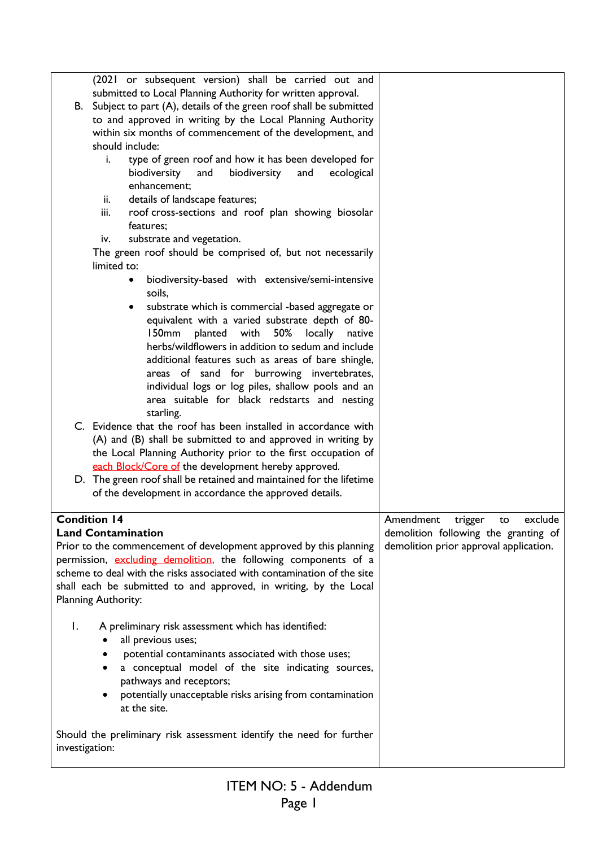|                                                                                        |                     | (2021 or subsequent version) shall be carried out and                        |                                        |
|----------------------------------------------------------------------------------------|---------------------|------------------------------------------------------------------------------|----------------------------------------|
|                                                                                        |                     | submitted to Local Planning Authority for written approval.                  |                                        |
|                                                                                        |                     | B. Subject to part (A), details of the green roof shall be submitted         |                                        |
|                                                                                        |                     | to and approved in writing by the Local Planning Authority                   |                                        |
|                                                                                        |                     | within six months of commencement of the development, and                    |                                        |
|                                                                                        |                     | should include:                                                              |                                        |
|                                                                                        | i.                  | type of green roof and how it has been developed for                         |                                        |
|                                                                                        |                     | biodiversity<br>and<br>biodiversity<br>and<br>ecological                     |                                        |
|                                                                                        |                     | enhancement;                                                                 |                                        |
|                                                                                        | ii.                 | details of landscape features;                                               |                                        |
|                                                                                        | iii.                | roof cross-sections and roof plan showing biosolar                           |                                        |
|                                                                                        |                     | features;                                                                    |                                        |
|                                                                                        | iv.                 | substrate and vegetation.                                                    |                                        |
|                                                                                        |                     | The green roof should be comprised of, but not necessarily                   |                                        |
|                                                                                        | limited to:         |                                                                              |                                        |
|                                                                                        |                     | biodiversity-based with extensive/semi-intensive<br>soils,                   |                                        |
|                                                                                        |                     | substrate which is commercial -based aggregate or                            |                                        |
|                                                                                        |                     | equivalent with a varied substrate depth of 80-                              |                                        |
|                                                                                        |                     | planted with<br>50%<br>l 50mm<br>locally<br>native                           |                                        |
|                                                                                        |                     | herbs/wildflowers in addition to sedum and include                           |                                        |
|                                                                                        |                     | additional features such as areas of bare shingle,                           |                                        |
|                                                                                        |                     | areas of sand for burrowing invertebrates,                                   |                                        |
|                                                                                        |                     | individual logs or log piles, shallow pools and an                           |                                        |
|                                                                                        |                     | area suitable for black redstarts and nesting                                |                                        |
|                                                                                        |                     | starling.<br>C. Evidence that the roof has been installed in accordance with |                                        |
|                                                                                        |                     | (A) and (B) shall be submitted to and approved in writing by                 |                                        |
|                                                                                        |                     | the Local Planning Authority prior to the first occupation of                |                                        |
|                                                                                        |                     | each Block/Core of the development hereby approved.                          |                                        |
|                                                                                        |                     | D. The green roof shall be retained and maintained for the lifetime          |                                        |
|                                                                                        |                     | of the development in accordance the approved details.                       |                                        |
|                                                                                        |                     |                                                                              |                                        |
|                                                                                        | <b>Condition 14</b> |                                                                              | Amendment trigger to exclude           |
|                                                                                        |                     | <b>Land Contamination</b>                                                    | demolition following the granting of   |
|                                                                                        |                     | Prior to the commencement of development approved by this planning           | demolition prior approval application. |
|                                                                                        |                     | permission, excluding demolition, the following components of a              |                                        |
|                                                                                        |                     | scheme to deal with the risks associated with contamination of the site      |                                        |
|                                                                                        |                     | shall each be submitted to and approved, in writing, by the Local            |                                        |
|                                                                                        | Planning Authority: |                                                                              |                                        |
| Ι.                                                                                     |                     | A preliminary risk assessment which has identified:                          |                                        |
|                                                                                        |                     | all previous uses;                                                           |                                        |
|                                                                                        |                     | potential contaminants associated with those uses;                           |                                        |
|                                                                                        |                     | a conceptual model of the site indicating sources,                           |                                        |
|                                                                                        |                     | pathways and receptors;                                                      |                                        |
|                                                                                        |                     | potentially unacceptable risks arising from contamination                    |                                        |
|                                                                                        |                     | at the site.                                                                 |                                        |
|                                                                                        |                     |                                                                              |                                        |
| Should the preliminary risk assessment identify the need for further<br>investigation: |                     |                                                                              |                                        |
|                                                                                        |                     |                                                                              |                                        |
|                                                                                        |                     |                                                                              |                                        |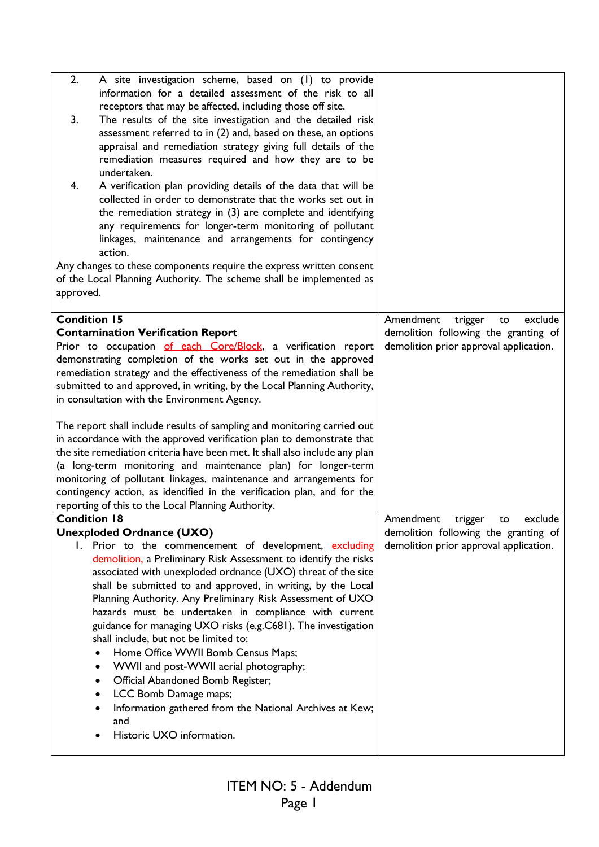| 2.                  | A site investigation scheme, based on (1) to provide                        |                                        |
|---------------------|-----------------------------------------------------------------------------|----------------------------------------|
|                     | information for a detailed assessment of the risk to all                    |                                        |
|                     | receptors that may be affected, including those off site.                   |                                        |
| 3.                  | The results of the site investigation and the detailed risk                 |                                        |
|                     | assessment referred to in (2) and, based on these, an options               |                                        |
|                     | appraisal and remediation strategy giving full details of the               |                                        |
|                     | remediation measures required and how they are to be                        |                                        |
|                     | undertaken.                                                                 |                                        |
| 4.                  | A verification plan providing details of the data that will be              |                                        |
|                     | collected in order to demonstrate that the works set out in                 |                                        |
|                     | the remediation strategy in (3) are complete and identifying                |                                        |
|                     |                                                                             |                                        |
|                     | any requirements for longer-term monitoring of pollutant                    |                                        |
|                     | linkages, maintenance and arrangements for contingency                      |                                        |
|                     | action.                                                                     |                                        |
|                     | Any changes to these components require the express written consent         |                                        |
|                     | of the Local Planning Authority. The scheme shall be implemented as         |                                        |
| approved.           |                                                                             |                                        |
|                     |                                                                             |                                        |
| <b>Condition 15</b> |                                                                             | Amendment<br>exclude<br>trigger<br>to  |
|                     | <b>Contamination Verification Report</b>                                    | demolition following the granting of   |
|                     | Prior to occupation of each Core/Block, a verification report               | demolition prior approval application. |
|                     | demonstrating completion of the works set out in the approved               |                                        |
|                     | remediation strategy and the effectiveness of the remediation shall be      |                                        |
|                     | submitted to and approved, in writing, by the Local Planning Authority,     |                                        |
|                     | in consultation with the Environment Agency.                                |                                        |
|                     |                                                                             |                                        |
|                     | The report shall include results of sampling and monitoring carried out     |                                        |
|                     |                                                                             |                                        |
|                     | in accordance with the approved verification plan to demonstrate that       |                                        |
|                     | the site remediation criteria have been met. It shall also include any plan |                                        |
|                     | (a long-term monitoring and maintenance plan) for longer-term               |                                        |
|                     | monitoring of pollutant linkages, maintenance and arrangements for          |                                        |
|                     | contingency action, as identified in the verification plan, and for the     |                                        |
|                     | reporting of this to the Local Planning Authority.                          |                                        |
| Condition 18        |                                                                             | Amendment trigger<br>exclude<br>to     |
|                     | <b>Unexploded Ordnance (UXO)</b>                                            | demolition following the granting of   |
|                     | I. Prior to the commencement of development, excluding                      | demolition prior approval application. |
|                     | demolition, a Preliminary Risk Assessment to identify the risks             |                                        |
|                     | associated with unexploded ordnance (UXO) threat of the site                |                                        |
|                     | shall be submitted to and approved, in writing, by the Local                |                                        |
|                     |                                                                             |                                        |
|                     |                                                                             |                                        |
|                     | Planning Authority. Any Preliminary Risk Assessment of UXO                  |                                        |
|                     | hazards must be undertaken in compliance with current                       |                                        |
|                     | guidance for managing UXO risks (e.g.C681). The investigation               |                                        |
|                     | shall include, but not be limited to:                                       |                                        |
|                     | Home Office WWII Bomb Census Maps;<br>$\bullet$                             |                                        |
|                     | WWII and post-WWII aerial photography;<br>$\bullet$                         |                                        |
|                     | Official Abandoned Bomb Register;<br>$\bullet$                              |                                        |
|                     | LCC Bomb Damage maps;<br>$\bullet$                                          |                                        |
|                     | Information gathered from the National Archives at Kew;<br>٠                |                                        |
|                     | and                                                                         |                                        |
|                     | Historic UXO information.                                                   |                                        |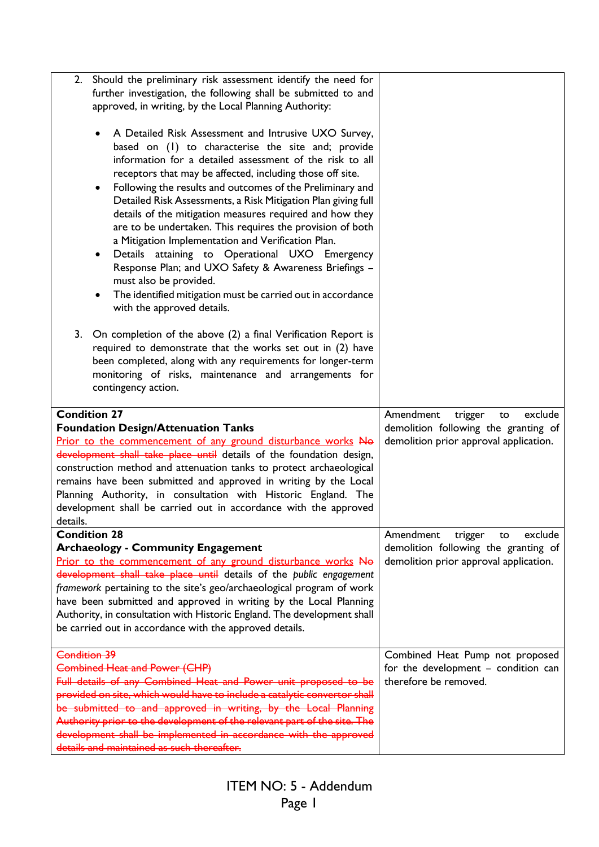| Should the preliminary risk assessment identify the need for<br>2.                                                                                                                                                                                                                                                                                                                                                                                                                                                                                                                                                                                                                                                                                                                                                                     |                                                       |
|----------------------------------------------------------------------------------------------------------------------------------------------------------------------------------------------------------------------------------------------------------------------------------------------------------------------------------------------------------------------------------------------------------------------------------------------------------------------------------------------------------------------------------------------------------------------------------------------------------------------------------------------------------------------------------------------------------------------------------------------------------------------------------------------------------------------------------------|-------------------------------------------------------|
| further investigation, the following shall be submitted to and                                                                                                                                                                                                                                                                                                                                                                                                                                                                                                                                                                                                                                                                                                                                                                         |                                                       |
| approved, in writing, by the Local Planning Authority:                                                                                                                                                                                                                                                                                                                                                                                                                                                                                                                                                                                                                                                                                                                                                                                 |                                                       |
|                                                                                                                                                                                                                                                                                                                                                                                                                                                                                                                                                                                                                                                                                                                                                                                                                                        |                                                       |
| A Detailed Risk Assessment and Intrusive UXO Survey,<br>$\bullet$<br>based on (1) to characterise the site and; provide<br>information for a detailed assessment of the risk to all<br>receptors that may be affected, including those off site.<br>Following the results and outcomes of the Preliminary and<br>$\bullet$<br>Detailed Risk Assessments, a Risk Mitigation Plan giving full<br>details of the mitigation measures required and how they<br>are to be undertaken. This requires the provision of both<br>a Mitigation Implementation and Verification Plan.<br>Details attaining to Operational UXO Emergency<br>$\bullet$<br>Response Plan; and UXO Safety & Awareness Briefings -<br>must also be provided.<br>The identified mitigation must be carried out in accordance<br>$\bullet$<br>with the approved details. |                                                       |
| 3.<br>On completion of the above (2) a final Verification Report is<br>required to demonstrate that the works set out in (2) have<br>been completed, along with any requirements for longer-term<br>monitoring of risks, maintenance and arrangements for<br>contingency action.                                                                                                                                                                                                                                                                                                                                                                                                                                                                                                                                                       |                                                       |
| <b>Condition 27</b>                                                                                                                                                                                                                                                                                                                                                                                                                                                                                                                                                                                                                                                                                                                                                                                                                    |                                                       |
|                                                                                                                                                                                                                                                                                                                                                                                                                                                                                                                                                                                                                                                                                                                                                                                                                                        | Amendment<br>exclude                                  |
| <b>Foundation Design/Attenuation Tanks</b>                                                                                                                                                                                                                                                                                                                                                                                                                                                                                                                                                                                                                                                                                                                                                                                             | trigger<br>to<br>demolition following the granting of |
|                                                                                                                                                                                                                                                                                                                                                                                                                                                                                                                                                                                                                                                                                                                                                                                                                                        | demolition prior approval application.                |
| Prior to the commencement of any ground disturbance works No<br>development shall take place until details of the foundation design,                                                                                                                                                                                                                                                                                                                                                                                                                                                                                                                                                                                                                                                                                                   |                                                       |
| construction method and attenuation tanks to protect archaeological                                                                                                                                                                                                                                                                                                                                                                                                                                                                                                                                                                                                                                                                                                                                                                    |                                                       |
|                                                                                                                                                                                                                                                                                                                                                                                                                                                                                                                                                                                                                                                                                                                                                                                                                                        |                                                       |
| remains have been submitted and approved in writing by the Local<br>Planning Authority, in consultation with Historic England. The                                                                                                                                                                                                                                                                                                                                                                                                                                                                                                                                                                                                                                                                                                     |                                                       |
| development shall be carried out in accordance with the approved                                                                                                                                                                                                                                                                                                                                                                                                                                                                                                                                                                                                                                                                                                                                                                       |                                                       |
| details.                                                                                                                                                                                                                                                                                                                                                                                                                                                                                                                                                                                                                                                                                                                                                                                                                               |                                                       |
| <b>Condition 28</b>                                                                                                                                                                                                                                                                                                                                                                                                                                                                                                                                                                                                                                                                                                                                                                                                                    | Amendment<br>exclude<br>trigger<br>to                 |
| <b>Archaeology - Community Engagement</b>                                                                                                                                                                                                                                                                                                                                                                                                                                                                                                                                                                                                                                                                                                                                                                                              | demolition following the granting of                  |
| Prior to the commencement of any ground disturbance works No                                                                                                                                                                                                                                                                                                                                                                                                                                                                                                                                                                                                                                                                                                                                                                           | demolition prior approval application.                |
| development shall take place until details of the public engagement                                                                                                                                                                                                                                                                                                                                                                                                                                                                                                                                                                                                                                                                                                                                                                    |                                                       |
| framework pertaining to the site's geo/archaeological program of work                                                                                                                                                                                                                                                                                                                                                                                                                                                                                                                                                                                                                                                                                                                                                                  |                                                       |
| have been submitted and approved in writing by the Local Planning                                                                                                                                                                                                                                                                                                                                                                                                                                                                                                                                                                                                                                                                                                                                                                      |                                                       |
| Authority, in consultation with Historic England. The development shall                                                                                                                                                                                                                                                                                                                                                                                                                                                                                                                                                                                                                                                                                                                                                                |                                                       |
| be carried out in accordance with the approved details.                                                                                                                                                                                                                                                                                                                                                                                                                                                                                                                                                                                                                                                                                                                                                                                |                                                       |
|                                                                                                                                                                                                                                                                                                                                                                                                                                                                                                                                                                                                                                                                                                                                                                                                                                        |                                                       |
| <b>Condition 39</b>                                                                                                                                                                                                                                                                                                                                                                                                                                                                                                                                                                                                                                                                                                                                                                                                                    | Combined Heat Pump not proposed                       |
| <b>Combined Heat and Power (CHP)</b>                                                                                                                                                                                                                                                                                                                                                                                                                                                                                                                                                                                                                                                                                                                                                                                                   | for the development - condition can                   |
| Full details of any Combined Heat and Power unit proposed to be                                                                                                                                                                                                                                                                                                                                                                                                                                                                                                                                                                                                                                                                                                                                                                        | therefore be removed.                                 |
| provided on site, which would have to include a catalytic convertor shall                                                                                                                                                                                                                                                                                                                                                                                                                                                                                                                                                                                                                                                                                                                                                              |                                                       |
| be submitted to and approved in writing, by the Local Planning                                                                                                                                                                                                                                                                                                                                                                                                                                                                                                                                                                                                                                                                                                                                                                         |                                                       |
| Authority prior to the development of the relevant part of the site. The<br>development shall be implemented in accordance with the approved                                                                                                                                                                                                                                                                                                                                                                                                                                                                                                                                                                                                                                                                                           |                                                       |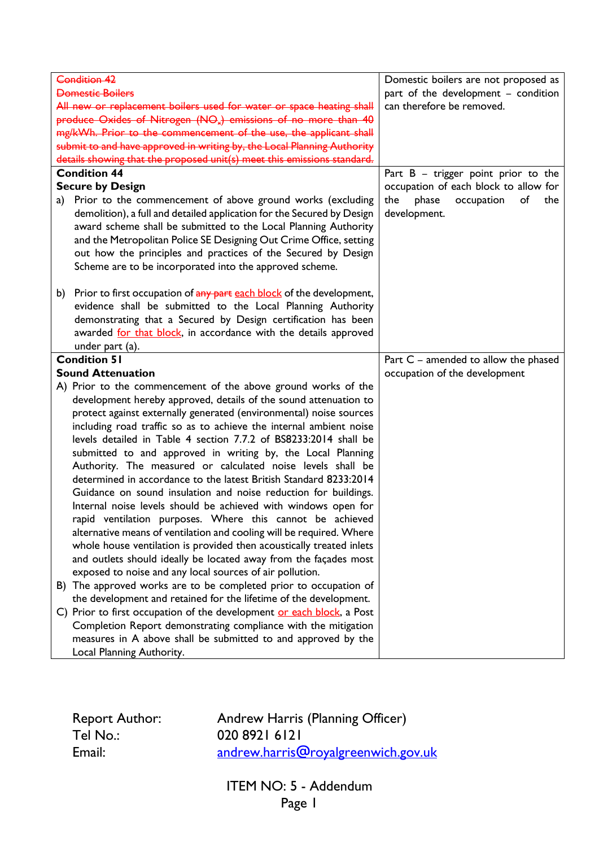| <b>Condition 42</b>                                                                                                                      | Domestic boilers are not proposed as    |
|------------------------------------------------------------------------------------------------------------------------------------------|-----------------------------------------|
| <b>Domestic Boilers</b>                                                                                                                  | part of the development - condition     |
| All new or replacement boilers used for water or space heating shall                                                                     | can therefore be removed.               |
| produce Oxides of Nitrogen (NO <sub>x</sub> ) emissions of no more than 40                                                               |                                         |
| mg/kWh. Prior to the commencement of the use, the applicant shall                                                                        |                                         |
| submit to and have approved in writing by, the Local Planning Authority                                                                  |                                         |
| details showing that the proposed unit(s) meet this emissions standard.                                                                  |                                         |
| <b>Condition 44</b>                                                                                                                      | Part $B - trigger point prior to the$   |
| <b>Secure by Design</b>                                                                                                                  | occupation of each block to allow for   |
| Prior to the commencement of above ground works (excluding<br>a)                                                                         | the<br>phase<br>occupation<br>of<br>the |
| demolition), a full and detailed application for the Secured by Design                                                                   | development.                            |
| award scheme shall be submitted to the Local Planning Authority                                                                          |                                         |
| and the Metropolitan Police SE Designing Out Crime Office, setting                                                                       |                                         |
| out how the principles and practices of the Secured by Design                                                                            |                                         |
| Scheme are to be incorporated into the approved scheme.                                                                                  |                                         |
|                                                                                                                                          |                                         |
| b) Prior to first occupation of any part each block of the development,                                                                  |                                         |
| evidence shall be submitted to the Local Planning Authority                                                                              |                                         |
| demonstrating that a Secured by Design certification has been                                                                            |                                         |
| awarded for that block, in accordance with the details approved                                                                          |                                         |
| under part (a).                                                                                                                          |                                         |
| <b>Condition 51</b>                                                                                                                      | Part C - amended to allow the phased    |
| <b>Sound Attenuation</b>                                                                                                                 | occupation of the development           |
| A) Prior to the commencement of the above ground works of the<br>development hereby approved, details of the sound attenuation to        |                                         |
|                                                                                                                                          |                                         |
| protect against externally generated (environmental) noise sources<br>including road traffic so as to achieve the internal ambient noise |                                         |
| levels detailed in Table 4 section 7.7.2 of BS8233:2014 shall be                                                                         |                                         |
| submitted to and approved in writing by, the Local Planning                                                                              |                                         |
| Authority. The measured or calculated noise levels shall be                                                                              |                                         |
| determined in accordance to the latest British Standard 8233:2014                                                                        |                                         |
| Guidance on sound insulation and noise reduction for buildings.                                                                          |                                         |
| Internal noise levels should be achieved with windows open for                                                                           |                                         |
| rapid ventilation purposes. Where this cannot be achieved                                                                                |                                         |
| alternative means of ventilation and cooling will be required. Where                                                                     |                                         |
| whole house ventilation is provided then acoustically treated inlets                                                                     |                                         |
| and outlets should ideally be located away from the façades most                                                                         |                                         |
| exposed to noise and any local sources of air pollution.                                                                                 |                                         |
| B) The approved works are to be completed prior to occupation of                                                                         |                                         |
| the development and retained for the lifetime of the development.                                                                        |                                         |
| C) Prior to first occupation of the development or each block, a Post                                                                    |                                         |
| Completion Report demonstrating compliance with the mitigation                                                                           |                                         |
| measures in A above shall be submitted to and approved by the                                                                            |                                         |
| Local Planning Authority.                                                                                                                |                                         |

Tel No.: 020 8921 6121<br>Email: 200 andrew.harris

Report Author: Andrew Harris (Planning Officer)<br>Tel No.: 020 8921 6121 [andrew.harris@royalgreenwich.gov.uk](mailto:andrew.harris@royalgreenwich.gov.uk)

> ITEM NO: 5 - Addendum Page 1